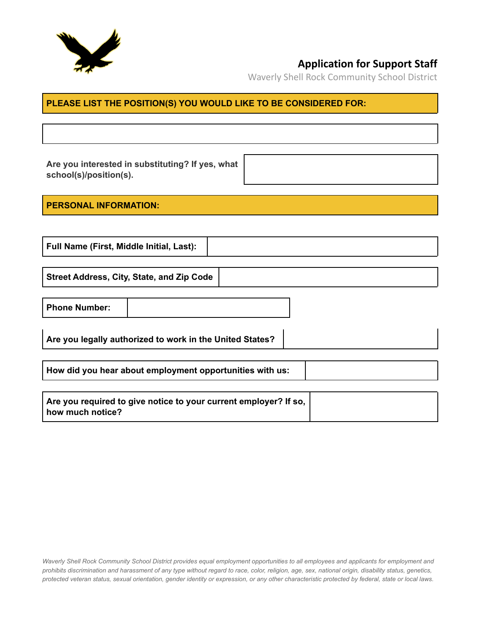

Waverly Shell Rock Community School District

#### **PLEASE LIST THE POSITION(S) YOU WOULD LIKE TO BE CONSIDERED FOR:**

**Are you interested in substituting? If yes, what school(s)/position(s).**

**PERSONAL INFORMATION:**

**Full Name (First, Middle Initial, Last):**

**Street Address, City, State, and Zip Code**

**Phone Number:**

**Are you legally authorized to work in the United States?**

**How did you hear about employment opportunities with us:**

| Are you required to give notice to your current employer? If so, |  |
|------------------------------------------------------------------|--|
| how much notice?                                                 |  |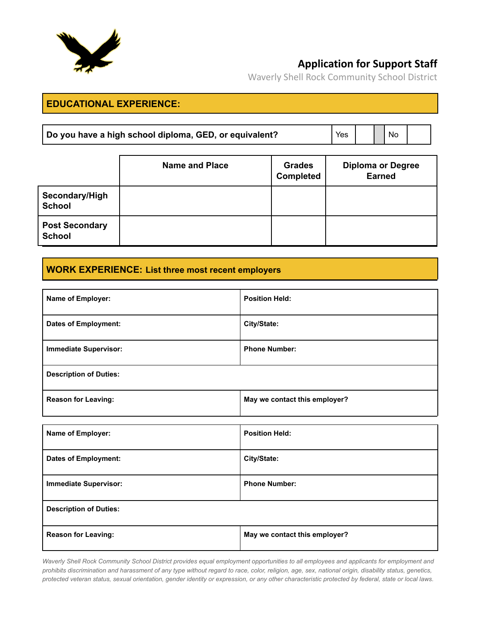

Waverly Shell Rock Community School District

#### **EDUCATIONAL EXPERIENCE:**

| Do you have a high school diploma, GED, or equivalent? | 'Yes |  |  | $\blacksquare$ No |  |
|--------------------------------------------------------|------|--|--|-------------------|--|
|--------------------------------------------------------|------|--|--|-------------------|--|

|                                        | <b>Name and Place</b> | <b>Grades</b><br><b>Completed</b> | <b>Diploma or Degree</b><br><b>Earned</b> |
|----------------------------------------|-----------------------|-----------------------------------|-------------------------------------------|
| Secondary/High<br><b>School</b>        |                       |                                   |                                           |
| <b>Post Secondary</b><br><b>School</b> |                       |                                   |                                           |

### **WORK EXPERIENCE: List three most recent employers**

| Name of Employer:             | <b>Position Held:</b>         |
|-------------------------------|-------------------------------|
| <b>Dates of Employment:</b>   | City/State:                   |
| <b>Immediate Supervisor:</b>  | <b>Phone Number:</b>          |
| <b>Description of Duties:</b> |                               |
| <b>Reason for Leaving:</b>    | May we contact this employer? |
|                               |                               |
| Name of Employer:             | <b>Position Held:</b>         |
| <b>Dates of Employment:</b>   | City/State:                   |
| <b>Immediate Supervisor:</b>  | <b>Phone Number:</b>          |
| <b>Description of Duties:</b> |                               |
| <b>Reason for Leaving:</b>    | May we contact this employer? |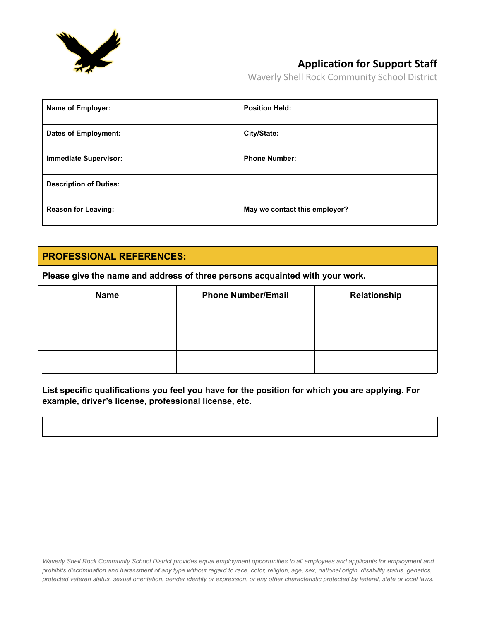

Waverly Shell Rock Community School District

| <b>Name of Employer:</b>      | <b>Position Held:</b>         |
|-------------------------------|-------------------------------|
| <b>Dates of Employment:</b>   | City/State:                   |
| <b>Immediate Supervisor:</b>  | <b>Phone Number:</b>          |
| <b>Description of Duties:</b> |                               |
| <b>Reason for Leaving:</b>    | May we contact this employer? |

#### **PROFESSIONAL REFERENCES:**

**Please give the name and address of three persons acquainted with your work.**

| <b>Name</b> | <b>Phone Number/Email</b> | Relationship |
|-------------|---------------------------|--------------|
|             |                           |              |
|             |                           |              |
|             |                           |              |

**List specific qualifications you feel you have for the position for which you are applying. For example, driver's license, professional license, etc.**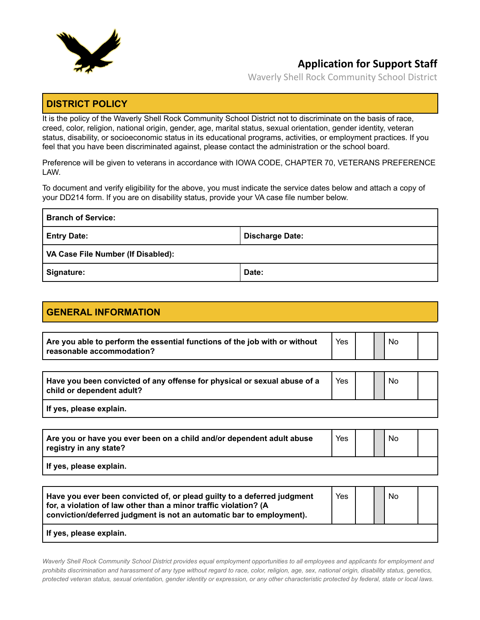

Waverly Shell Rock Community School District

#### **DISTRICT POLICY**

It is the policy of the Waverly Shell Rock Community School District not to discriminate on the basis of race, creed, color, religion, national origin, gender, age, marital status, sexual orientation, gender identity, veteran status, disability, or socioeconomic status in its educational programs, activities, or employment practices. If you feel that you have been discriminated against, please contact the administration or the school board.

Preference will be given to veterans in accordance with IOWA CODE, CHAPTER 70, VETERANS PREFERENCE LAW.

To document and verify eligibility for the above, you must indicate the service dates below and attach a copy of your DD214 form. If you are on disability status, provide your VA case file number below.

| <b>Branch of Service:</b>                 |                        |
|-------------------------------------------|------------------------|
| <b>Entry Date:</b>                        | <b>Discharge Date:</b> |
| <b>VA Case File Number (If Disabled):</b> |                        |
| Signature:                                | Date:                  |

### **GENERAL INFORMATION**

| Are you able to perform the essential functions of the job with or without | Yes |  | No |  |
|----------------------------------------------------------------------------|-----|--|----|--|
| $^\shortparallel$ reasonable accommodation?                                |     |  |    |  |

| Have you been convicted of any offense for physical or sexual abuse of a<br>child or dependent adult? | Yes |  | <b>No</b> |  |
|-------------------------------------------------------------------------------------------------------|-----|--|-----------|--|
| If yes, please explain.                                                                               |     |  |           |  |

| Are you or have you ever been on a child and/or dependent adult abuse<br>registry in any state? | Yes |  | <b>No</b> |  |
|-------------------------------------------------------------------------------------------------|-----|--|-----------|--|
| l If yes, please explain.                                                                       |     |  |           |  |

| Have you ever been convicted of, or plead guilty to a deferred judgment<br>for, a violation of law other than a minor traffic violation? (A<br>conviction/deferred judgment is not an automatic bar to employment). | Yes |  | No. |  |
|---------------------------------------------------------------------------------------------------------------------------------------------------------------------------------------------------------------------|-----|--|-----|--|
| If yes, please explain.                                                                                                                                                                                             |     |  |     |  |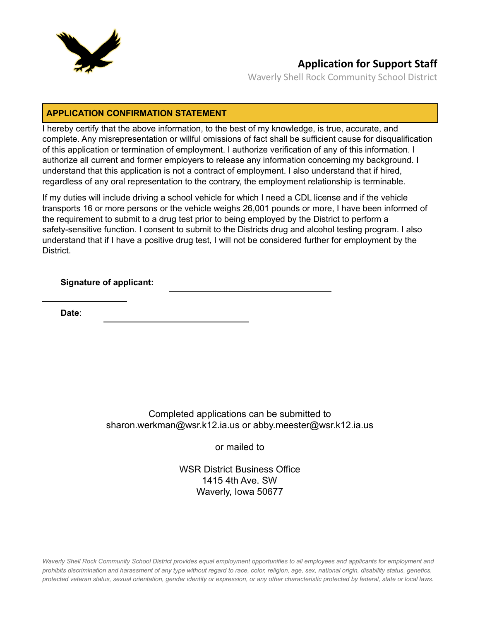

Waverly Shell Rock Community School District

#### **APPLICATION CONFIRMATION STATEMENT**

I hereby certify that the above information, to the best of my knowledge, is true, accurate, and complete. Any misrepresentation or willful omissions of fact shall be sufficient cause for disqualification of this application or termination of employment. I authorize verification of any of this information. I authorize all current and former employers to release any information concerning my background. I understand that this application is not a contract of employment. I also understand that if hired, regardless of any oral representation to the contrary, the employment relationship is terminable.

If my duties will include driving a school vehicle for which I need a CDL license and if the vehicle transports 16 or more persons or the vehicle weighs 26,001 pounds or more, I have been informed of the requirement to submit to a drug test prior to being employed by the District to perform a safety-sensitive function. I consent to submit to the Districts drug and alcohol testing program. I also understand that if I have a positive drug test, I will not be considered further for employment by the District.

**Signature of applicant:**

**Date**:

Completed applications can be submitted to [sharon.werkman@wsr.k12.ia.us](mailto:sharon.werkman@wsr.k12.ia.us) or [abby.meester@wsr.k12.ia.us](mailto:abby.meester@wsr.k12.ia.us)

or mailed to

[WSR District Business Office](https://www.wsr.k12.ia.us/_files/ugd/7adb42_4d33d9b19a5549c2b244f09a60e38737.pdf) [1415 4th Ave. SW](https://www.wsr.k12.ia.us/_files/ugd/7adb42_4d33d9b19a5549c2b244f09a60e38737.pdf) [Waverly, Iowa 50677](https://www.wsr.k12.ia.us/_files/ugd/7adb42_4d33d9b19a5549c2b244f09a60e38737.pdf)